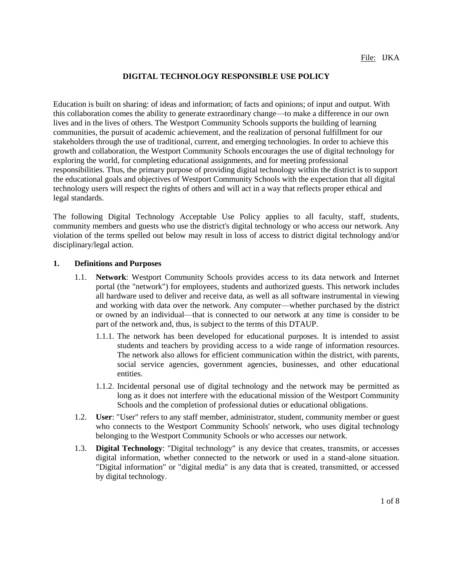## **DIGITAL TECHNOLOGY RESPONSIBLE USE POLICY**

Education is built on sharing: of ideas and information; of facts and opinions; of input and output. With this collaboration comes the ability to generate extraordinary change—to make a difference in our own lives and in the lives of others. The Westport Community Schools supports the building of learning communities, the pursuit of academic achievement, and the realization of personal fulfillment for our stakeholders through the use of traditional, current, and emerging technologies. In order to achieve this growth and collaboration, the Westport Community Schools encourages the use of digital technology for exploring the world, for completing educational assignments, and for meeting professional responsibilities. Thus, the primary purpose of providing digital technology within the district is to support the educational goals and objectives of Westport Community Schools with the expectation that all digital technology users will respect the rights of others and will act in a way that reflects proper ethical and legal standards.

The following Digital Technology Acceptable Use Policy applies to all faculty, staff, students, community members and guests who use the district's digital technology or who access our network. Any violation of the terms spelled out below may result in loss of access to district digital technology and/or disciplinary/legal action.

#### **1. Definitions and Purposes**

- 1.1. **Network**: Westport Community Schools provides access to its data network and Internet portal (the "network") for employees, students and authorized guests. This network includes all hardware used to deliver and receive data, as well as all software instrumental in viewing and working with data over the network. Any computer—whether purchased by the district or owned by an individual—that is connected to our network at any time is consider to be part of the network and, thus, is subject to the terms of this DTAUP.
	- 1.1.1. The network has been developed for educational purposes. It is intended to assist students and teachers by providing access to a wide range of information resources. The network also allows for efficient communication within the district, with parents, social service agencies, government agencies, businesses, and other educational entities.
	- 1.1.2. Incidental personal use of digital technology and the network may be permitted as long as it does not interfere with the educational mission of the Westport Community Schools and the completion of professional duties or educational obligations.
- 1.2. **User**: "User" refers to any staff member, administrator, student, community member or guest who connects to the Westport Community Schools' network, who uses digital technology belonging to the Westport Community Schools or who accesses our network.
- 1.3. **Digital Technology**: "Digital technology" is any device that creates, transmits, or accesses digital information, whether connected to the network or used in a stand-alone situation. "Digital information" or "digital media" is any data that is created, transmitted, or accessed by digital technology.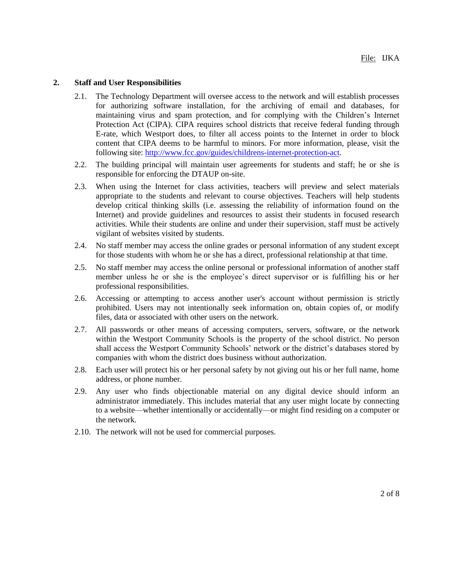## **2. Staff and User Responsibilities**

- 2.1. The Technology Department will oversee access to the network and will establish processes for authorizing software installation, for the archiving of email and databases, for maintaining virus and spam protection, and for complying with the Children's Internet Protection Act (CIPA). CIPA requires school districts that receive federal funding through E-rate, which Westport does, to filter all access points to the Internet in order to block content that CIPA deems to be harmful to minors. For more information, please, visit the following site: [http://www.fcc.gov/guides/childrens-internet-protection-act.](http://www.fcc.gov/guides/childrens-internet-protection-act)
- 2.2. The building principal will maintain user agreements for students and staff; he or she is responsible for enforcing the DTAUP on-site.
- 2.3. When using the Internet for class activities, teachers will preview and select materials appropriate to the students and relevant to course objectives. Teachers will help students develop critical thinking skills (i.e. assessing the reliability of information found on the Internet) and provide guidelines and resources to assist their students in focused research activities. While their students are online and under their supervision, staff must be actively vigilant of websites visited by students.
- 2.4. No staff member may access the online grades or personal information of any student except for those students with whom he or she has a direct, professional relationship at that time.
- 2.5. No staff member may access the online personal or professional information of another staff member unless he or she is the employee's direct supervisor or is fulfilling his or her professional responsibilities.
- 2.6. Accessing or attempting to access another user's account without permission is strictly prohibited. Users may not intentionally seek information on, obtain copies of, or modify files, data or associated with other users on the network.
- 2.7. All passwords or other means of accessing computers, servers, software, or the network within the Westport Community Schools is the property of the school district. No person shall access the Westport Community Schools' network or the district's databases stored by companies with whom the district does business without authorization.
- 2.8. Each user will protect his or her personal safety by not giving out his or her full name, home address, or phone number.
- 2.9. Any user who finds objectionable material on any digital device should inform an administrator immediately. This includes material that any user might locate by connecting to a website—whether intentionally or accidentally—or might find residing on a computer or the network.
- 2.10. The network will not be used for commercial purposes.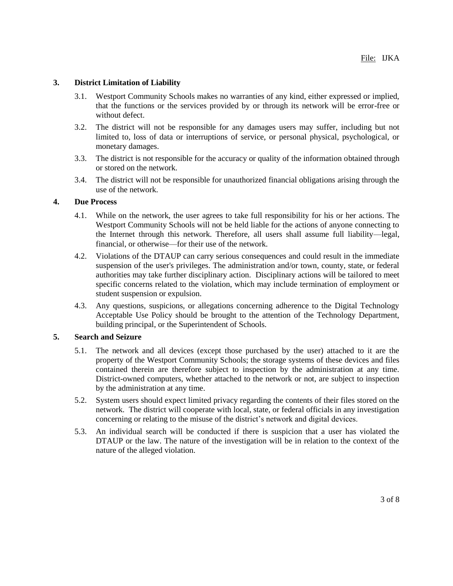# **3. District Limitation of Liability**

- 3.1. Westport Community Schools makes no warranties of any kind, either expressed or implied, that the functions or the services provided by or through its network will be error-free or without defect.
- 3.2. The district will not be responsible for any damages users may suffer, including but not limited to, loss of data or interruptions of service, or personal physical, psychological, or monetary damages.
- 3.3. The district is not responsible for the accuracy or quality of the information obtained through or stored on the network.
- 3.4. The district will not be responsible for unauthorized financial obligations arising through the use of the network.

### **4. Due Process**

- 4.1. While on the network, the user agrees to take full responsibility for his or her actions. The Westport Community Schools will not be held liable for the actions of anyone connecting to the Internet through this network. Therefore, all users shall assume full liability—legal, financial, or otherwise—for their use of the network.
- 4.2. Violations of the DTAUP can carry serious consequences and could result in the immediate suspension of the user's privileges. The administration and/or town, county, state, or federal authorities may take further disciplinary action. Disciplinary actions will be tailored to meet specific concerns related to the violation, which may include termination of employment or student suspension or expulsion.
- 4.3. Any questions, suspicions, or allegations concerning adherence to the Digital Technology Acceptable Use Policy should be brought to the attention of the Technology Department, building principal, or the Superintendent of Schools.

### **5. Search and Seizure**

- 5.1. The network and all devices (except those purchased by the user) attached to it are the property of the Westport Community Schools; the storage systems of these devices and files contained therein are therefore subject to inspection by the administration at any time. District-owned computers, whether attached to the network or not, are subject to inspection by the administration at any time.
- 5.2. System users should expect limited privacy regarding the contents of their files stored on the network. The district will cooperate with local, state, or federal officials in any investigation concerning or relating to the misuse of the district's network and digital devices.
- 5.3. An individual search will be conducted if there is suspicion that a user has violated the DTAUP or the law. The nature of the investigation will be in relation to the context of the nature of the alleged violation.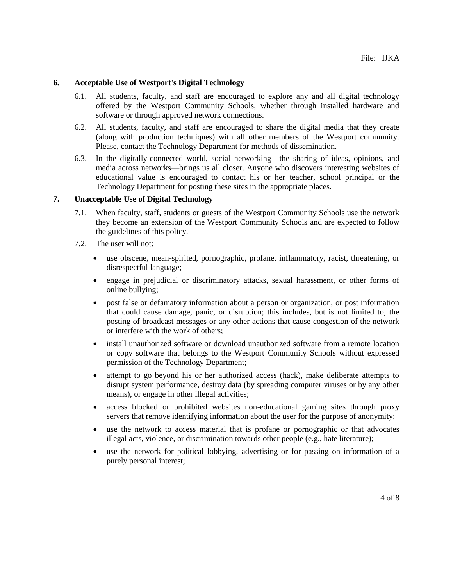### **6. Acceptable Use of Westport's Digital Technology**

- 6.1. All students, faculty, and staff are encouraged to explore any and all digital technology offered by the Westport Community Schools, whether through installed hardware and software or through approved network connections.
- 6.2. All students, faculty, and staff are encouraged to share the digital media that they create (along with production techniques) with all other members of the Westport community. Please, contact the Technology Department for methods of dissemination.
- 6.3. In the digitally-connected world, social networking—the sharing of ideas, opinions, and media across networks—brings us all closer. Anyone who discovers interesting websites of educational value is encouraged to contact his or her teacher, school principal or the Technology Department for posting these sites in the appropriate places.

# **7. Unacceptable Use of Digital Technology**

- 7.1. When faculty, staff, students or guests of the Westport Community Schools use the network they become an extension of the Westport Community Schools and are expected to follow the guidelines of this policy.
- 7.2. The user will not:
	- use obscene, mean-spirited, pornographic, profane, inflammatory, racist, threatening, or disrespectful language;
	- engage in prejudicial or discriminatory attacks, sexual harassment, or other forms of online bullying;
	- post false or defamatory information about a person or organization, or post information that could cause damage, panic, or disruption; this includes, but is not limited to, the posting of broadcast messages or any other actions that cause congestion of the network or interfere with the work of others;
	- install unauthorized software or download unauthorized software from a remote location or copy software that belongs to the Westport Community Schools without expressed permission of the Technology Department;
	- attempt to go beyond his or her authorized access (hack), make deliberate attempts to disrupt system performance, destroy data (by spreading computer viruses or by any other means), or engage in other illegal activities;
	- access blocked or prohibited websites non-educational gaming sites through proxy servers that remove identifying information about the user for the purpose of anonymity;
	- use the network to access material that is profane or pornographic or that advocates illegal acts, violence, or discrimination towards other people (e.g., hate literature);
	- use the network for political lobbying, advertising or for passing on information of a purely personal interest;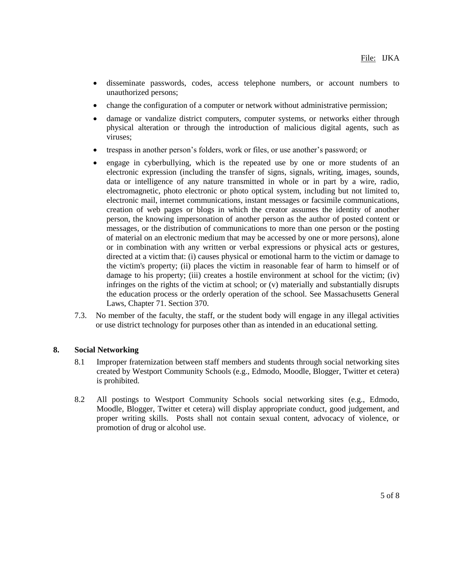- disseminate passwords, codes, access telephone numbers, or account numbers to unauthorized persons;
- change the configuration of a computer or network without administrative permission;
- damage or vandalize district computers, computer systems, or networks either through physical alteration or through the introduction of malicious digital agents, such as viruses;
- trespass in another person's folders, work or files, or use another's password; or
- engage in cyberbullying, which is the repeated use by one or more students of an electronic expression (including the transfer of signs, signals, writing, images, sounds, data or intelligence of any nature transmitted in whole or in part by a wire, radio, electromagnetic, photo electronic or photo optical system, including but not limited to, electronic mail, internet communications, instant messages or facsimile communications, creation of web pages or blogs in which the creator assumes the identity of another person, the knowing impersonation of another person as the author of posted content or messages, or the distribution of communications to more than one person or the posting of material on an electronic medium that may be accessed by one or more persons), alone or in combination with any written or verbal expressions or physical acts or gestures, directed at a victim that: (i) causes physical or emotional harm to the victim or damage to the victim's property; (ii) places the victim in reasonable fear of harm to himself or of damage to his property; (iii) creates a hostile environment at school for the victim; (iv) infringes on the rights of the victim at school; or (v) materially and substantially disrupts the education process or the orderly operation of the school. See Massachusetts General Laws, Chapter 71. Section 370.
- 7.3. No member of the faculty, the staff, or the student body will engage in any illegal activities or use district technology for purposes other than as intended in an educational setting.

# **8. Social Networking**

- 8.1 Improper fraternization between staff members and students through social networking sites created by Westport Community Schools (e.g., Edmodo, Moodle, Blogger, Twitter et cetera) is prohibited.
- 8.2 All postings to Westport Community Schools social networking sites (e.g., Edmodo, Moodle, Blogger, Twitter et cetera) will display appropriate conduct, good judgement, and proper writing skills. Posts shall not contain sexual content, advocacy of violence, or promotion of drug or alcohol use.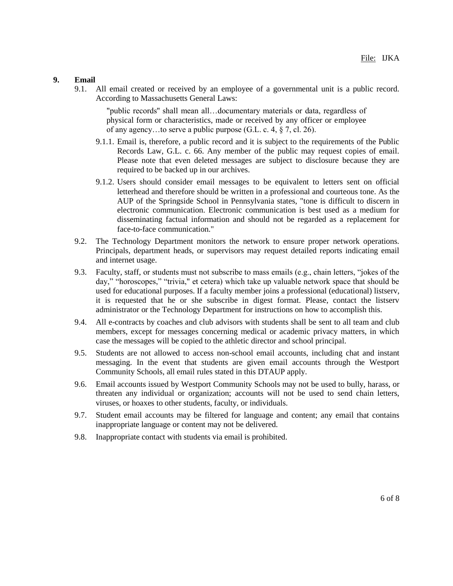#### **9. Email**

9.1. All email created or received by an employee of a governmental unit is a public record. According to Massachusetts General Laws:

"public records'' shall mean all…documentary materials or data, regardless of physical form or characteristics, made or received by any officer or employee of any agency…to serve a public purpose (G.L. c. 4, § 7, cl. 26).

- 9.1.1. Email is, therefore, a public record and it is subject to the requirements of the Public Records Law, G.L. c. 66. Any member of the public may request copies of email. Please note that even deleted messages are subject to disclosure because they are required to be backed up in our archives.
- 9.1.2. Users should consider email messages to be equivalent to letters sent on official letterhead and therefore should be written in a professional and courteous tone. As the AUP of the Springside School in Pennsylvania states, "tone is difficult to discern in electronic communication. Electronic communication is best used as a medium for disseminating factual information and should not be regarded as a replacement for face-to-face communication."
- 9.2. The Technology Department monitors the network to ensure proper network operations. Principals, department heads, or supervisors may request detailed reports indicating email and internet usage.
- 9.3. Faculty, staff, or students must not subscribe to mass emails (e.g., chain letters, "jokes of the day," "horoscopes," "trivia," et cetera) which take up valuable network space that should be used for educational purposes. If a faculty member joins a professional (educational) listserv, it is requested that he or she subscribe in digest format. Please, contact the listserv administrator or the Technology Department for instructions on how to accomplish this.
- 9.4. All e-contracts by coaches and club advisors with students shall be sent to all team and club members, except for messages concerning medical or academic privacy matters, in which case the messages will be copied to the athletic director and school principal.
- 9.5. Students are not allowed to access non-school email accounts, including chat and instant messaging. In the event that students are given email accounts through the Westport Community Schools, all email rules stated in this DTAUP apply.
- 9.6. Email accounts issued by Westport Community Schools may not be used to bully, harass, or threaten any individual or organization; accounts will not be used to send chain letters, viruses, or hoaxes to other students, faculty, or individuals.
- 9.7. Student email accounts may be filtered for language and content; any email that contains inappropriate language or content may not be delivered.
- 9.8. Inappropriate contact with students via email is prohibited.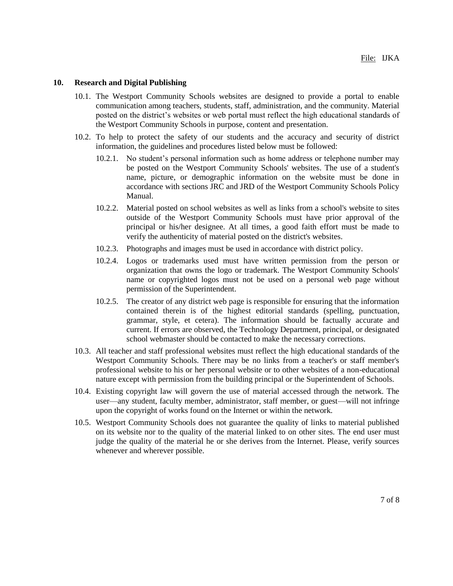#### **10. Research and Digital Publishing**

- 10.1. The Westport Community Schools websites are designed to provide a portal to enable communication among teachers, students, staff, administration, and the community. Material posted on the district's websites or web portal must reflect the high educational standards of the Westport Community Schools in purpose, content and presentation.
- 10.2. To help to protect the safety of our students and the accuracy and security of district information, the guidelines and procedures listed below must be followed:
	- 10.2.1. No student's personal information such as home address or telephone number may be posted on the Westport Community Schools' websites. The use of a student's name, picture, or demographic information on the website must be done in accordance with sections JRC and JRD of the Westport Community Schools Policy Manual.
	- 10.2.2. Material posted on school websites as well as links from a school's website to sites outside of the Westport Community Schools must have prior approval of the principal or his/her designee. At all times, a good faith effort must be made to verify the authenticity of material posted on the district's websites.
	- 10.2.3. Photographs and images must be used in accordance with district policy.
	- 10.2.4. Logos or trademarks used must have written permission from the person or organization that owns the logo or trademark. The Westport Community Schools' name or copyrighted logos must not be used on a personal web page without permission of the Superintendent.
	- 10.2.5. The creator of any district web page is responsible for ensuring that the information contained therein is of the highest editorial standards (spelling, punctuation, grammar, style, et cetera). The information should be factually accurate and current. If errors are observed, the Technology Department, principal, or designated school webmaster should be contacted to make the necessary corrections.
- 10.3. All teacher and staff professional websites must reflect the high educational standards of the Westport Community Schools. There may be no links from a teacher's or staff member's professional website to his or her personal website or to other websites of a non-educational nature except with permission from the building principal or the Superintendent of Schools.
- 10.4. Existing copyright law will govern the use of material accessed through the network. The user—any student, faculty member, administrator, staff member, or guest—will not infringe upon the copyright of works found on the Internet or within the network.
- 10.5. Westport Community Schools does not guarantee the quality of links to material published on its website nor to the quality of the material linked to on other sites. The end user must judge the quality of the material he or she derives from the Internet. Please, verify sources whenever and wherever possible.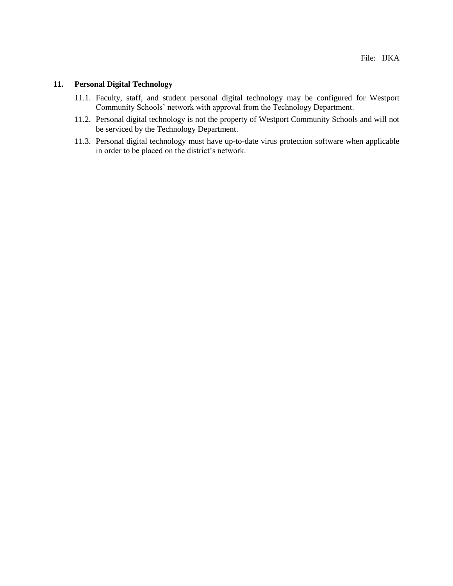## **11. Personal Digital Technology**

- 11.1. Faculty, staff, and student personal digital technology may be configured for Westport Community Schools' network with approval from the Technology Department.
- 11.2. Personal digital technology is not the property of Westport Community Schools and will not be serviced by the Technology Department.
- 11.3. Personal digital technology must have up-to-date virus protection software when applicable in order to be placed on the district's network.